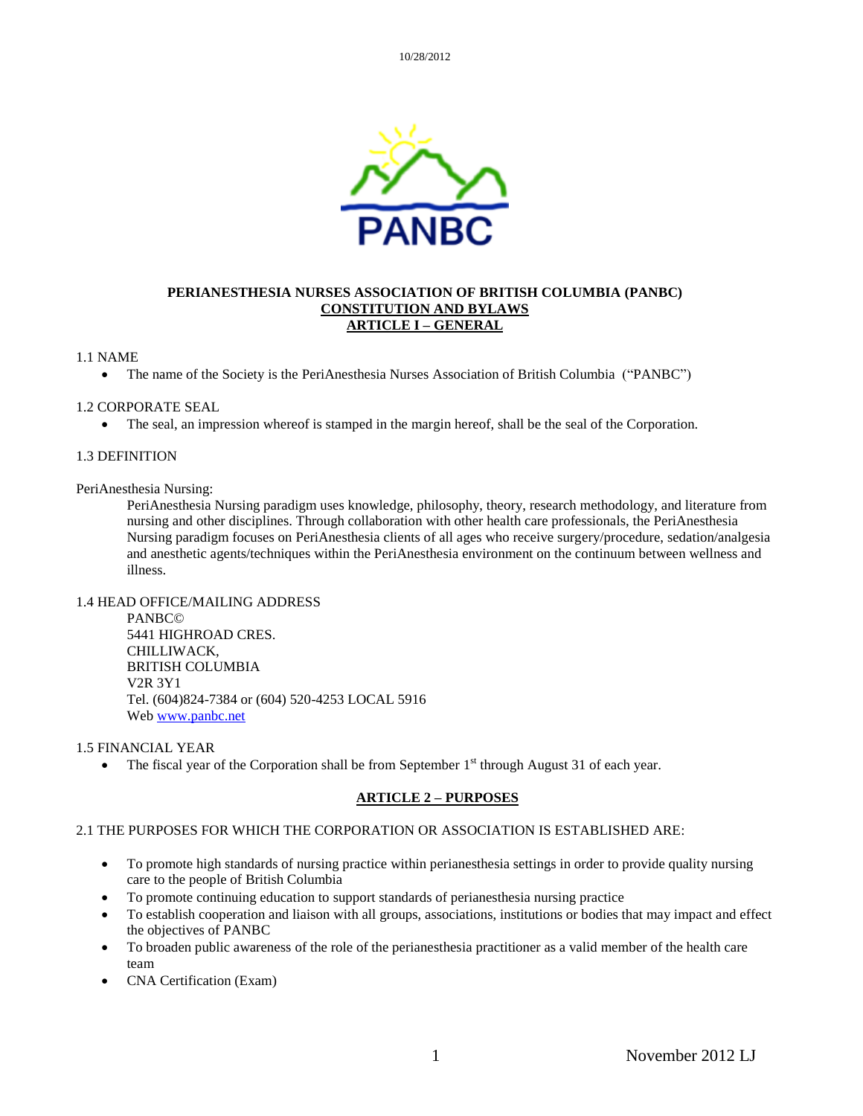

#### **PERIANESTHESIA NURSES ASSOCIATION OF BRITISH COLUMBIA (PANBC) CONSTITUTION AND BYLAWS ARTICLE I – GENERAL**

#### 1.1 NAME

• The name of the Society is the PeriAnesthesia Nurses Association of British Columbia ("PANBC")

#### 1.2 CORPORATE SEAL

• The seal, an impression whereof is stamped in the margin hereof, shall be the seal of the Corporation.

#### 1.3 DEFINITION

#### PeriAnesthesia Nursing:

PeriAnesthesia Nursing paradigm uses knowledge, philosophy, theory, research methodology, and literature from nursing and other disciplines. Through collaboration with other health care professionals, the PeriAnesthesia Nursing paradigm focuses on PeriAnesthesia clients of all ages who receive surgery/procedure, sedation/analgesia and anesthetic agents/techniques within the PeriAnesthesia environment on the continuum between wellness and illness.

#### 1.4 HEAD OFFICE/MAILING ADDRESS

PANBC© 5441 HIGHROAD CRES. CHILLIWACK, BRITISH COLUMBIA V2R 3Y1 Tel. (604)824-7384 or (604) 520-4253 LOCAL 5916 Web [www.panbc.net](http://www.panbc.net/)

#### 1.5 FINANCIAL YEAR

• The fiscal year of the Corporation shall be from September  $1<sup>st</sup>$  through August 31 of each year.

#### **ARTICLE 2 – PURPOSES**

#### 2.1 THE PURPOSES FOR WHICH THE CORPORATION OR ASSOCIATION IS ESTABLISHED ARE:

- To promote high standards of nursing practice within perianesthesia settings in order to provide quality nursing care to the people of British Columbia
- To promote continuing education to support standards of perianesthesia nursing practice
- To establish cooperation and liaison with all groups, associations, institutions or bodies that may impact and effect the objectives of PANBC
- To broaden public awareness of the role of the perianesthesia practitioner as a valid member of the health care team
- CNA Certification (Exam)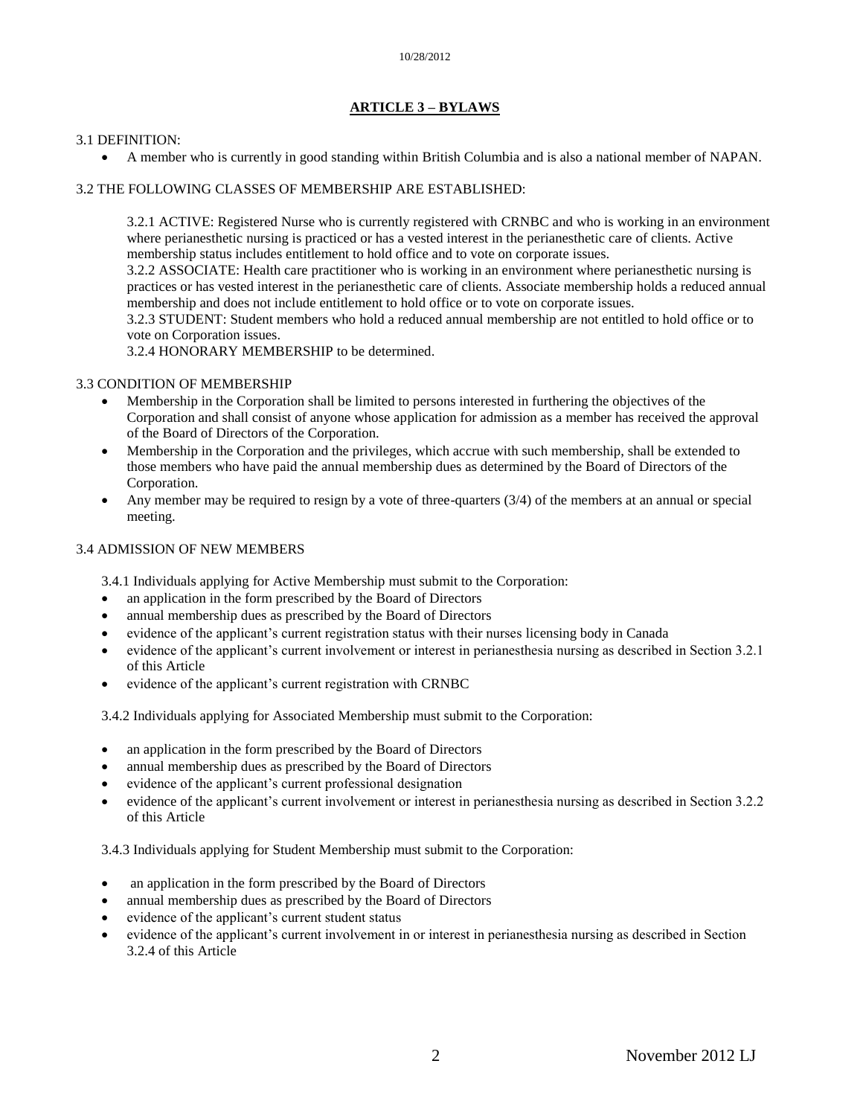# **ARTICLE 3 – BYLAWS**

#### 3.1 DEFINITION:

A member who is currently in good standing within British Columbia and is also a national member of NAPAN.

# 3.2 THE FOLLOWING CLASSES OF MEMBERSHIP ARE ESTABLISHED:

3.2.1 ACTIVE: Registered Nurse who is currently registered with CRNBC and who is working in an environment where perianesthetic nursing is practiced or has a vested interest in the perianesthetic care of clients. Active membership status includes entitlement to hold office and to vote on corporate issues.

3.2.2 ASSOCIATE: Health care practitioner who is working in an environment where perianesthetic nursing is practices or has vested interest in the perianesthetic care of clients. Associate membership holds a reduced annual membership and does not include entitlement to hold office or to vote on corporate issues.

3.2.3 STUDENT: Student members who hold a reduced annual membership are not entitled to hold office or to vote on Corporation issues.

3.2.4 HONORARY MEMBERSHIP to be determined.

# 3.3 CONDITION OF MEMBERSHIP

- Membership in the Corporation shall be limited to persons interested in furthering the objectives of the Corporation and shall consist of anyone whose application for admission as a member has received the approval of the Board of Directors of the Corporation.
- Membership in the Corporation and the privileges, which accrue with such membership, shall be extended to those members who have paid the annual membership dues as determined by the Board of Directors of the Corporation.
- Any member may be required to resign by a vote of three-quarters (3/4) of the members at an annual or special meeting.

# 3.4 ADMISSION OF NEW MEMBERS

3.4.1 Individuals applying for Active Membership must submit to the Corporation:

- an application in the form prescribed by the Board of Directors
- annual membership dues as prescribed by the Board of Directors
- evidence of the applicant's current registration status with their nurses licensing body in Canada
- evidence of the applicant's current involvement or interest in perianesthesia nursing as described in Section 3.2.1 of this Article
- evidence of the applicant's current registration with CRNBC

3.4.2 Individuals applying for Associated Membership must submit to the Corporation:

- an application in the form prescribed by the Board of Directors
- annual membership dues as prescribed by the Board of Directors
- evidence of the applicant's current professional designation
- evidence of the applicant's current involvement or interest in perianesthesia nursing as described in Section 3.2.2 of this Article

3.4.3 Individuals applying for Student Membership must submit to the Corporation:

- an application in the form prescribed by the Board of Directors
- annual membership dues as prescribed by the Board of Directors
- evidence of the applicant's current student status
- evidence of the applicant's current involvement in or interest in perianesthesia nursing as described in Section 3.2.4 of this Article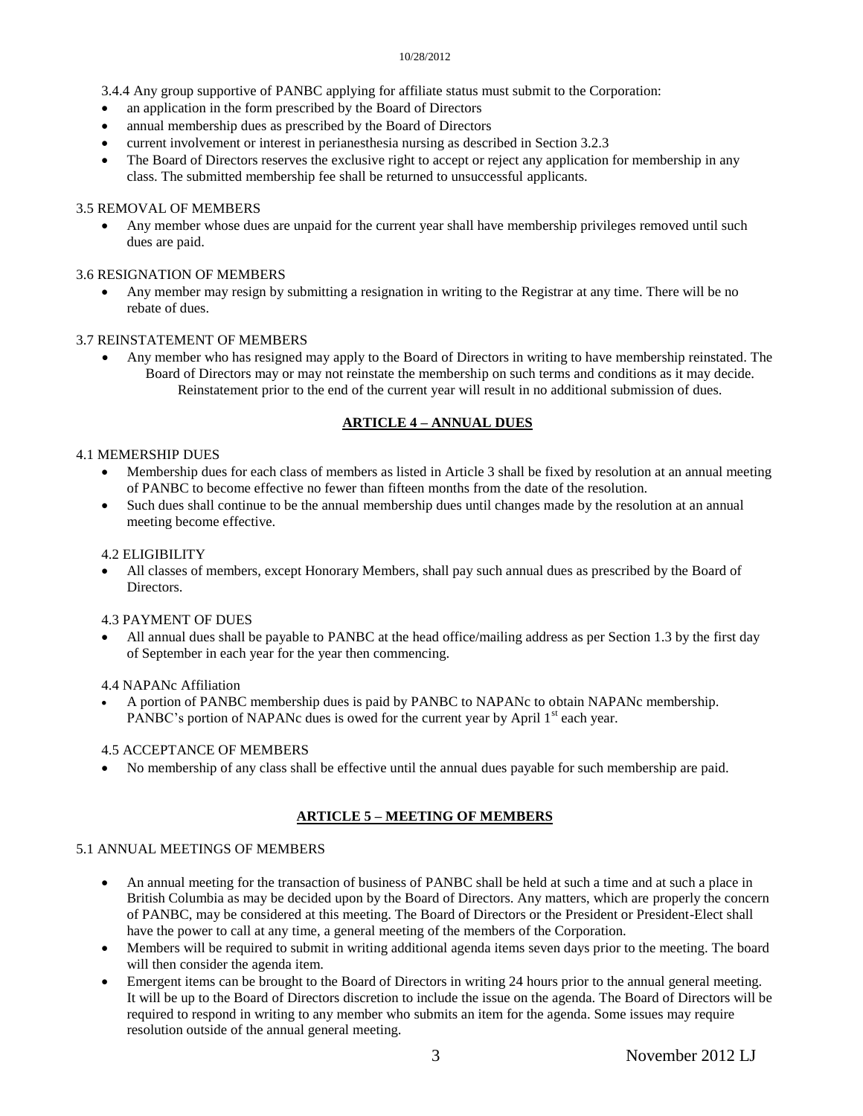- 3.4.4 Any group supportive of PANBC applying for affiliate status must submit to the Corporation:
- an application in the form prescribed by the Board of Directors
- annual membership dues as prescribed by the Board of Directors
- current involvement or interest in perianesthesia nursing as described in Section 3.2.3
- The Board of Directors reserves the exclusive right to accept or reject any application for membership in any class. The submitted membership fee shall be returned to unsuccessful applicants.

# 3.5 REMOVAL OF MEMBERS

 Any member whose dues are unpaid for the current year shall have membership privileges removed until such dues are paid.

# 3.6 RESIGNATION OF MEMBERS

 Any member may resign by submitting a resignation in writing to the Registrar at any time. There will be no rebate of dues.

# 3.7 REINSTATEMENT OF MEMBERS

 Any member who has resigned may apply to the Board of Directors in writing to have membership reinstated. The Board of Directors may or may not reinstate the membership on such terms and conditions as it may decide. Reinstatement prior to the end of the current year will result in no additional submission of dues.

# **ARTICLE 4 – ANNUAL DUES**

# 4.1 MEMERSHIP DUES

- Membership dues for each class of members as listed in Article 3 shall be fixed by resolution at an annual meeting of PANBC to become effective no fewer than fifteen months from the date of the resolution.
- Such dues shall continue to be the annual membership dues until changes made by the resolution at an annual meeting become effective.

#### 4.2 ELIGIBILITY

 All classes of members, except Honorary Members, shall pay such annual dues as prescribed by the Board of Directors.

#### 4.3 PAYMENT OF DUES

 All annual dues shall be payable to PANBC at the head office/mailing address as per Section 1.3 by the first day of September in each year for the year then commencing.

#### 4.4 NAPANc Affiliation

 A portion of PANBC membership dues is paid by PANBC to NAPANc to obtain NAPANc membership. PANBC's portion of NAPANc dues is owed for the current year by April 1<sup>st</sup> each year.

#### 4.5 ACCEPTANCE OF MEMBERS

No membership of any class shall be effective until the annual dues payable for such membership are paid.

# **ARTICLE 5 – MEETING OF MEMBERS**

# 5.1 ANNUAL MEETINGS OF MEMBERS

- An annual meeting for the transaction of business of PANBC shall be held at such a time and at such a place in British Columbia as may be decided upon by the Board of Directors. Any matters, which are properly the concern of PANBC, may be considered at this meeting. The Board of Directors or the President or President-Elect shall have the power to call at any time, a general meeting of the members of the Corporation.
- Members will be required to submit in writing additional agenda items seven days prior to the meeting. The board will then consider the agenda item.
- Emergent items can be brought to the Board of Directors in writing 24 hours prior to the annual general meeting. It will be up to the Board of Directors discretion to include the issue on the agenda. The Board of Directors will be required to respond in writing to any member who submits an item for the agenda. Some issues may require resolution outside of the annual general meeting.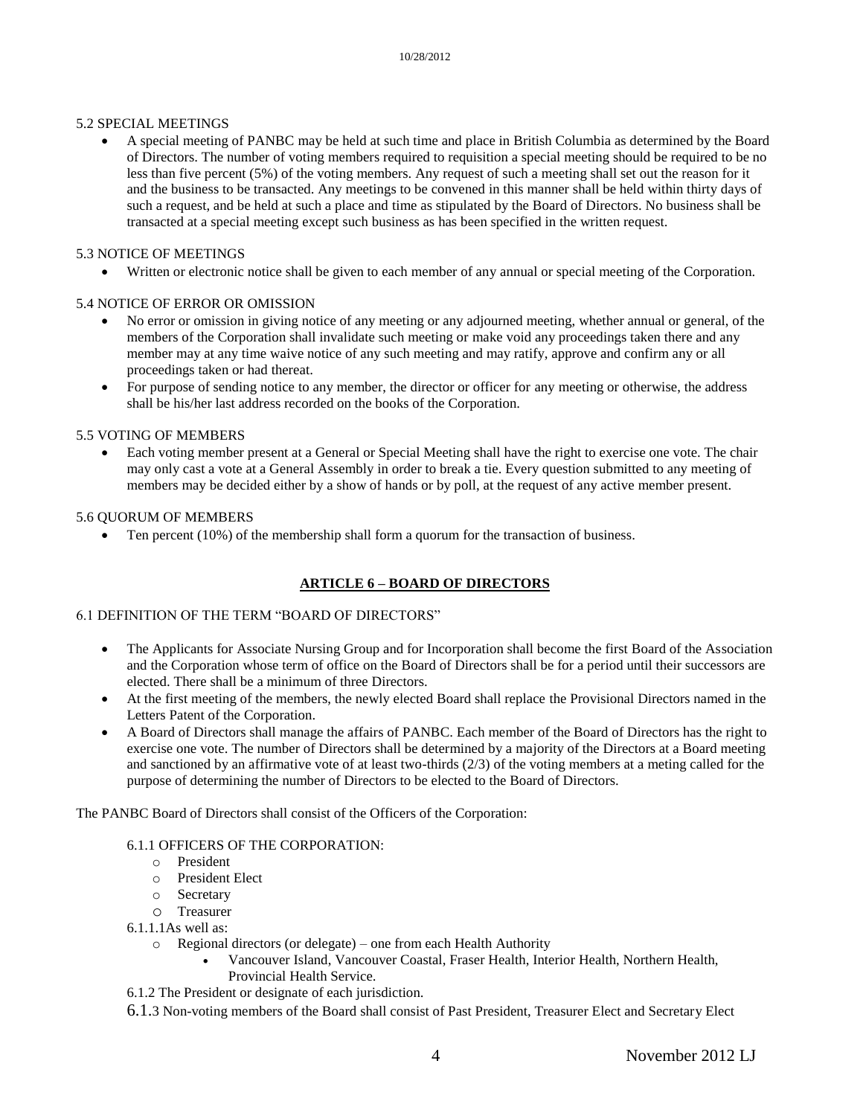# 5.2 SPECIAL MEETINGS

 A special meeting of PANBC may be held at such time and place in British Columbia as determined by the Board of Directors. The number of voting members required to requisition a special meeting should be required to be no less than five percent (5%) of the voting members. Any request of such a meeting shall set out the reason for it and the business to be transacted. Any meetings to be convened in this manner shall be held within thirty days of such a request, and be held at such a place and time as stipulated by the Board of Directors. No business shall be transacted at a special meeting except such business as has been specified in the written request.

#### 5.3 NOTICE OF MEETINGS

Written or electronic notice shall be given to each member of any annual or special meeting of the Corporation.

# 5.4 NOTICE OF ERROR OR OMISSION

- No error or omission in giving notice of any meeting or any adjourned meeting, whether annual or general, of the members of the Corporation shall invalidate such meeting or make void any proceedings taken there and any member may at any time waive notice of any such meeting and may ratify, approve and confirm any or all proceedings taken or had thereat.
- For purpose of sending notice to any member, the director or officer for any meeting or otherwise, the address shall be his/her last address recorded on the books of the Corporation.

# 5.5 VOTING OF MEMBERS

 Each voting member present at a General or Special Meeting shall have the right to exercise one vote. The chair may only cast a vote at a General Assembly in order to break a tie. Every question submitted to any meeting of members may be decided either by a show of hands or by poll, at the request of any active member present.

#### 5.6 QUORUM OF MEMBERS

• Ten percent (10%) of the membership shall form a quorum for the transaction of business.

# **ARTICLE 6 – BOARD OF DIRECTORS**

#### 6.1 DEFINITION OF THE TERM "BOARD OF DIRECTORS"

- The Applicants for Associate Nursing Group and for Incorporation shall become the first Board of the Association and the Corporation whose term of office on the Board of Directors shall be for a period until their successors are elected. There shall be a minimum of three Directors.
- At the first meeting of the members, the newly elected Board shall replace the Provisional Directors named in the Letters Patent of the Corporation.
- A Board of Directors shall manage the affairs of PANBC. Each member of the Board of Directors has the right to exercise one vote. The number of Directors shall be determined by a majority of the Directors at a Board meeting and sanctioned by an affirmative vote of at least two-thirds (2/3) of the voting members at a meting called for the purpose of determining the number of Directors to be elected to the Board of Directors.

The PANBC Board of Directors shall consist of the Officers of the Corporation:

#### 6.1.1 OFFICERS OF THE CORPORATION:

- o President
- o President Elect
- o Secretary
- o Treasurer
- 6.1.1.1As well as:
	- o Regional directors (or delegate) one from each Health Authority
		- Vancouver Island, Vancouver Coastal, Fraser Health, Interior Health, Northern Health,
		- Provincial Health Service.
- 6.1.2 The President or designate of each jurisdiction.
- 6.1.3 Non-voting members of the Board shall consist of Past President, Treasurer Elect and Secretary Elect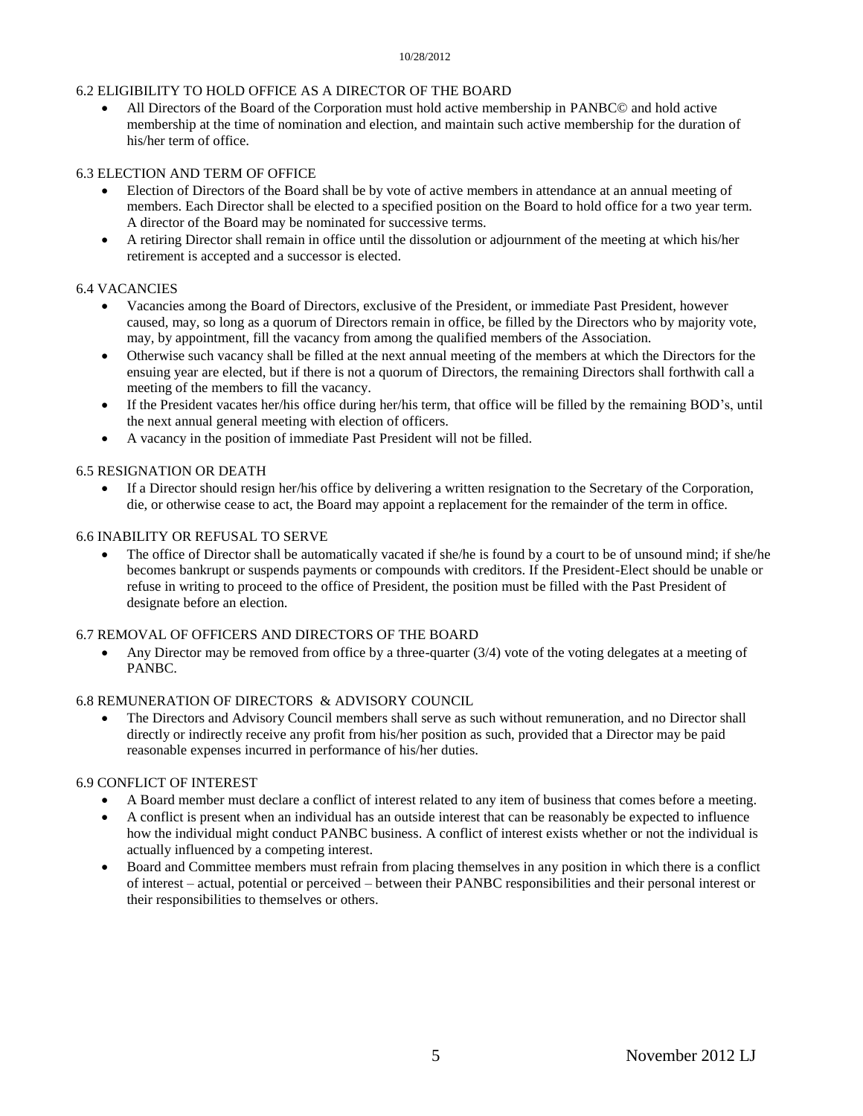### 6.2 ELIGIBILITY TO HOLD OFFICE AS A DIRECTOR OF THE BOARD

 All Directors of the Board of the Corporation must hold active membership in PANBC© and hold active membership at the time of nomination and election, and maintain such active membership for the duration of his/her term of office.

# 6.3 ELECTION AND TERM OF OFFICE

- Election of Directors of the Board shall be by vote of active members in attendance at an annual meeting of members. Each Director shall be elected to a specified position on the Board to hold office for a two year term. A director of the Board may be nominated for successive terms.
- A retiring Director shall remain in office until the dissolution or adjournment of the meeting at which his/her retirement is accepted and a successor is elected.

#### 6.4 VACANCIES

- Vacancies among the Board of Directors, exclusive of the President, or immediate Past President, however caused, may, so long as a quorum of Directors remain in office, be filled by the Directors who by majority vote, may, by appointment, fill the vacancy from among the qualified members of the Association.
- Otherwise such vacancy shall be filled at the next annual meeting of the members at which the Directors for the ensuing year are elected, but if there is not a quorum of Directors, the remaining Directors shall forthwith call a meeting of the members to fill the vacancy.
- If the President vacates her/his office during her/his term, that office will be filled by the remaining BOD's, until the next annual general meeting with election of officers.
- A vacancy in the position of immediate Past President will not be filled.

#### 6.5 RESIGNATION OR DEATH

 If a Director should resign her/his office by delivering a written resignation to the Secretary of the Corporation, die, or otherwise cease to act, the Board may appoint a replacement for the remainder of the term in office.

#### 6.6 INABILITY OR REFUSAL TO SERVE

 The office of Director shall be automatically vacated if she/he is found by a court to be of unsound mind; if she/he becomes bankrupt or suspends payments or compounds with creditors. If the President-Elect should be unable or refuse in writing to proceed to the office of President, the position must be filled with the Past President of designate before an election.

#### 6.7 REMOVAL OF OFFICERS AND DIRECTORS OF THE BOARD

 Any Director may be removed from office by a three-quarter (3/4) vote of the voting delegates at a meeting of PANBC.

#### 6.8 REMUNERATION OF DIRECTORS & ADVISORY COUNCIL

 The Directors and Advisory Council members shall serve as such without remuneration, and no Director shall directly or indirectly receive any profit from his/her position as such, provided that a Director may be paid reasonable expenses incurred in performance of his/her duties.

# 6.9 CONFLICT OF INTEREST

- A Board member must declare a conflict of interest related to any item of business that comes before a meeting.
- A conflict is present when an individual has an outside interest that can be reasonably be expected to influence how the individual might conduct PANBC business. A conflict of interest exists whether or not the individual is actually influenced by a competing interest.
- Board and Committee members must refrain from placing themselves in any position in which there is a conflict of interest – actual, potential or perceived – between their PANBC responsibilities and their personal interest or their responsibilities to themselves or others.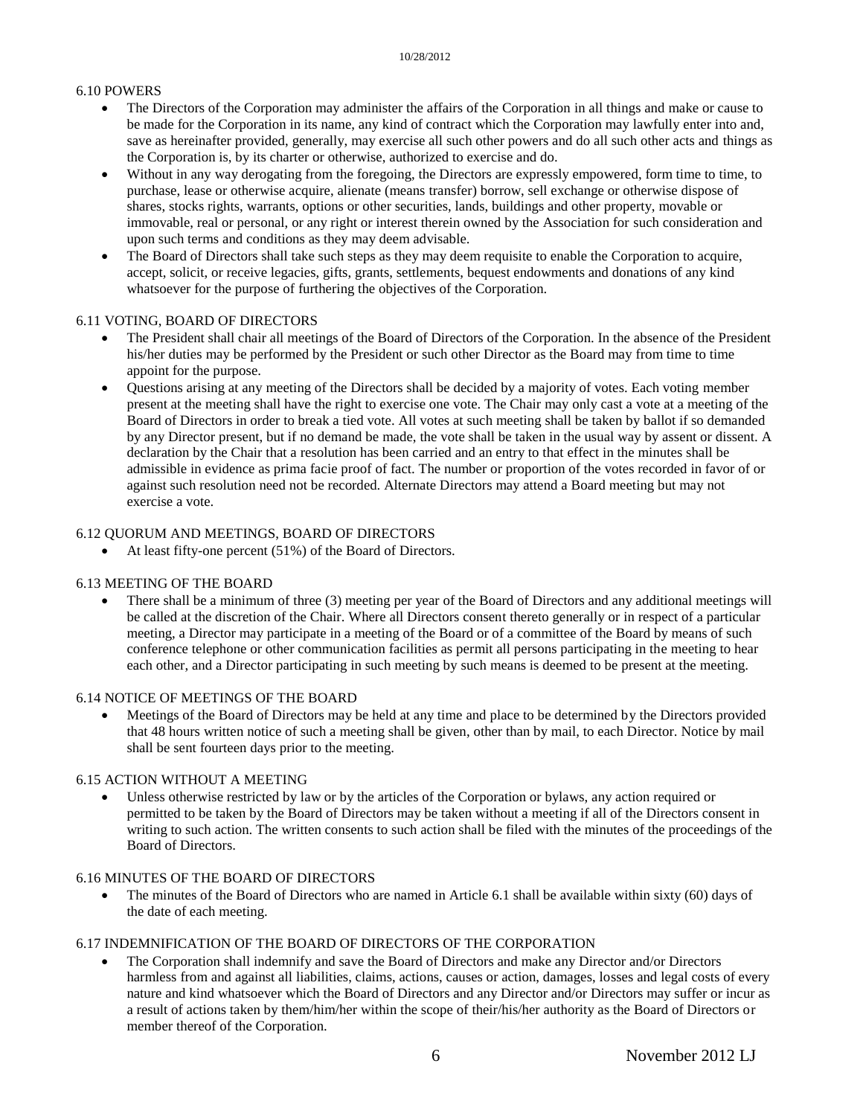#### 6.10 POWERS

- The Directors of the Corporation may administer the affairs of the Corporation in all things and make or cause to be made for the Corporation in its name, any kind of contract which the Corporation may lawfully enter into and, save as hereinafter provided, generally, may exercise all such other powers and do all such other acts and things as the Corporation is, by its charter or otherwise, authorized to exercise and do.
- Without in any way derogating from the foregoing, the Directors are expressly empowered, form time to time, to purchase, lease or otherwise acquire, alienate (means transfer) borrow, sell exchange or otherwise dispose of shares, stocks rights, warrants, options or other securities, lands, buildings and other property, movable or immovable, real or personal, or any right or interest therein owned by the Association for such consideration and upon such terms and conditions as they may deem advisable.
- The Board of Directors shall take such steps as they may deem requisite to enable the Corporation to acquire, accept, solicit, or receive legacies, gifts, grants, settlements, bequest endowments and donations of any kind whatsoever for the purpose of furthering the objectives of the Corporation.

#### 6.11 VOTING, BOARD OF DIRECTORS

- The President shall chair all meetings of the Board of Directors of the Corporation. In the absence of the President his/her duties may be performed by the President or such other Director as the Board may from time to time appoint for the purpose.
- Questions arising at any meeting of the Directors shall be decided by a majority of votes. Each voting member present at the meeting shall have the right to exercise one vote. The Chair may only cast a vote at a meeting of the Board of Directors in order to break a tied vote. All votes at such meeting shall be taken by ballot if so demanded by any Director present, but if no demand be made, the vote shall be taken in the usual way by assent or dissent. A declaration by the Chair that a resolution has been carried and an entry to that effect in the minutes shall be admissible in evidence as prima facie proof of fact. The number or proportion of the votes recorded in favor of or against such resolution need not be recorded. Alternate Directors may attend a Board meeting but may not exercise a vote.

# 6.12 QUORUM AND MEETINGS, BOARD OF DIRECTORS

At least fifty-one percent (51%) of the Board of Directors.

#### 6.13 MEETING OF THE BOARD

 There shall be a minimum of three (3) meeting per year of the Board of Directors and any additional meetings will be called at the discretion of the Chair. Where all Directors consent thereto generally or in respect of a particular meeting, a Director may participate in a meeting of the Board or of a committee of the Board by means of such conference telephone or other communication facilities as permit all persons participating in the meeting to hear each other, and a Director participating in such meeting by such means is deemed to be present at the meeting.

# 6.14 NOTICE OF MEETINGS OF THE BOARD

 Meetings of the Board of Directors may be held at any time and place to be determined by the Directors provided that 48 hours written notice of such a meeting shall be given, other than by mail, to each Director. Notice by mail shall be sent fourteen days prior to the meeting.

#### 6.15 ACTION WITHOUT A MEETING

 Unless otherwise restricted by law or by the articles of the Corporation or bylaws, any action required or permitted to be taken by the Board of Directors may be taken without a meeting if all of the Directors consent in writing to such action. The written consents to such action shall be filed with the minutes of the proceedings of the Board of Directors.

# 6.16 MINUTES OF THE BOARD OF DIRECTORS

 The minutes of the Board of Directors who are named in Article 6.1 shall be available within sixty (60) days of the date of each meeting.

#### 6.17 INDEMNIFICATION OF THE BOARD OF DIRECTORS OF THE CORPORATION

 The Corporation shall indemnify and save the Board of Directors and make any Director and/or Directors harmless from and against all liabilities, claims, actions, causes or action, damages, losses and legal costs of every nature and kind whatsoever which the Board of Directors and any Director and/or Directors may suffer or incur as a result of actions taken by them/him/her within the scope of their/his/her authority as the Board of Directors or member thereof of the Corporation.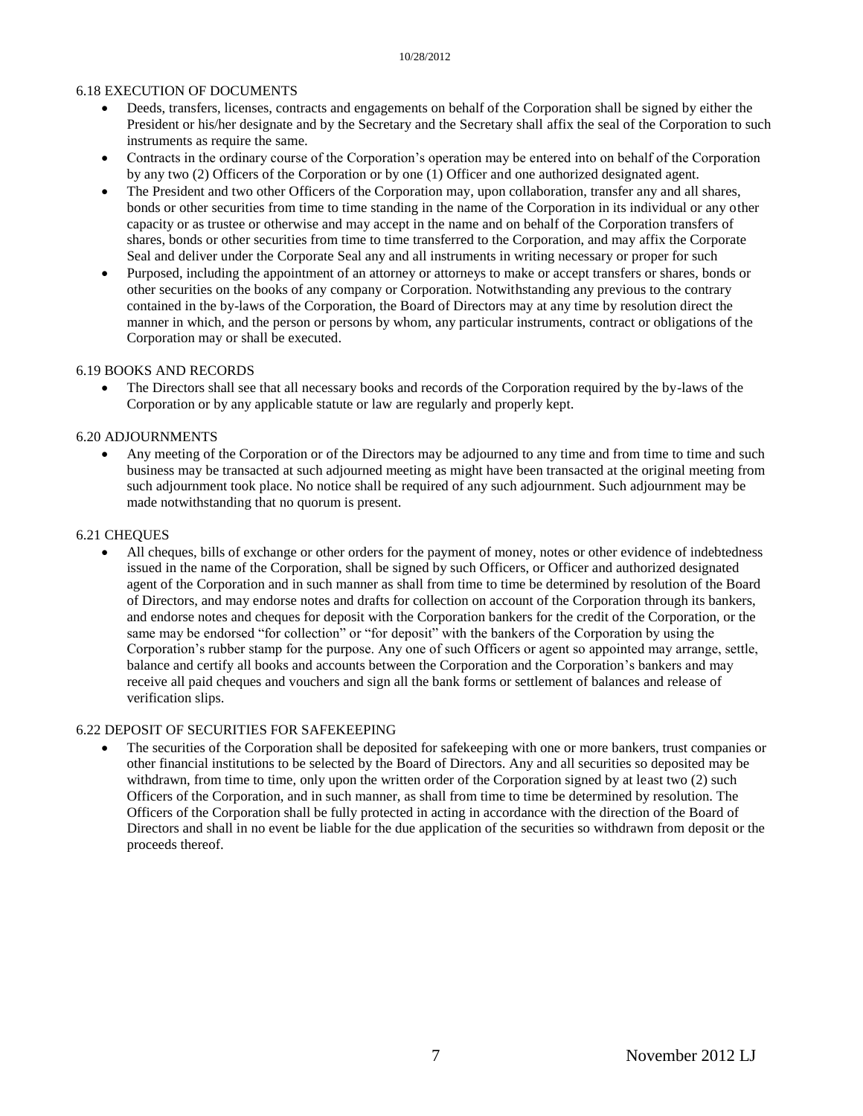#### 6.18 EXECUTION OF DOCUMENTS

- Deeds, transfers, licenses, contracts and engagements on behalf of the Corporation shall be signed by either the President or his/her designate and by the Secretary and the Secretary shall affix the seal of the Corporation to such instruments as require the same.
- Contracts in the ordinary course of the Corporation's operation may be entered into on behalf of the Corporation by any two (2) Officers of the Corporation or by one (1) Officer and one authorized designated agent.
- The President and two other Officers of the Corporation may, upon collaboration, transfer any and all shares, bonds or other securities from time to time standing in the name of the Corporation in its individual or any other capacity or as trustee or otherwise and may accept in the name and on behalf of the Corporation transfers of shares, bonds or other securities from time to time transferred to the Corporation, and may affix the Corporate Seal and deliver under the Corporate Seal any and all instruments in writing necessary or proper for such
- Purposed, including the appointment of an attorney or attorneys to make or accept transfers or shares, bonds or other securities on the books of any company or Corporation. Notwithstanding any previous to the contrary contained in the by-laws of the Corporation, the Board of Directors may at any time by resolution direct the manner in which, and the person or persons by whom, any particular instruments, contract or obligations of the Corporation may or shall be executed.

#### 6.19 BOOKS AND RECORDS

 The Directors shall see that all necessary books and records of the Corporation required by the by-laws of the Corporation or by any applicable statute or law are regularly and properly kept.

#### 6.20 ADJOURNMENTS

 Any meeting of the Corporation or of the Directors may be adjourned to any time and from time to time and such business may be transacted at such adjourned meeting as might have been transacted at the original meeting from such adjournment took place. No notice shall be required of any such adjournment. Such adjournment may be made notwithstanding that no quorum is present.

#### 6.21 CHEQUES

 All cheques, bills of exchange or other orders for the payment of money, notes or other evidence of indebtedness issued in the name of the Corporation, shall be signed by such Officers, or Officer and authorized designated agent of the Corporation and in such manner as shall from time to time be determined by resolution of the Board of Directors, and may endorse notes and drafts for collection on account of the Corporation through its bankers, and endorse notes and cheques for deposit with the Corporation bankers for the credit of the Corporation, or the same may be endorsed "for collection" or "for deposit" with the bankers of the Corporation by using the Corporation's rubber stamp for the purpose. Any one of such Officers or agent so appointed may arrange, settle, balance and certify all books and accounts between the Corporation and the Corporation's bankers and may receive all paid cheques and vouchers and sign all the bank forms or settlement of balances and release of verification slips.

#### 6.22 DEPOSIT OF SECURITIES FOR SAFEKEEPING

 The securities of the Corporation shall be deposited for safekeeping with one or more bankers, trust companies or other financial institutions to be selected by the Board of Directors. Any and all securities so deposited may be withdrawn, from time to time, only upon the written order of the Corporation signed by at least two (2) such Officers of the Corporation, and in such manner, as shall from time to time be determined by resolution. The Officers of the Corporation shall be fully protected in acting in accordance with the direction of the Board of Directors and shall in no event be liable for the due application of the securities so withdrawn from deposit or the proceeds thereof.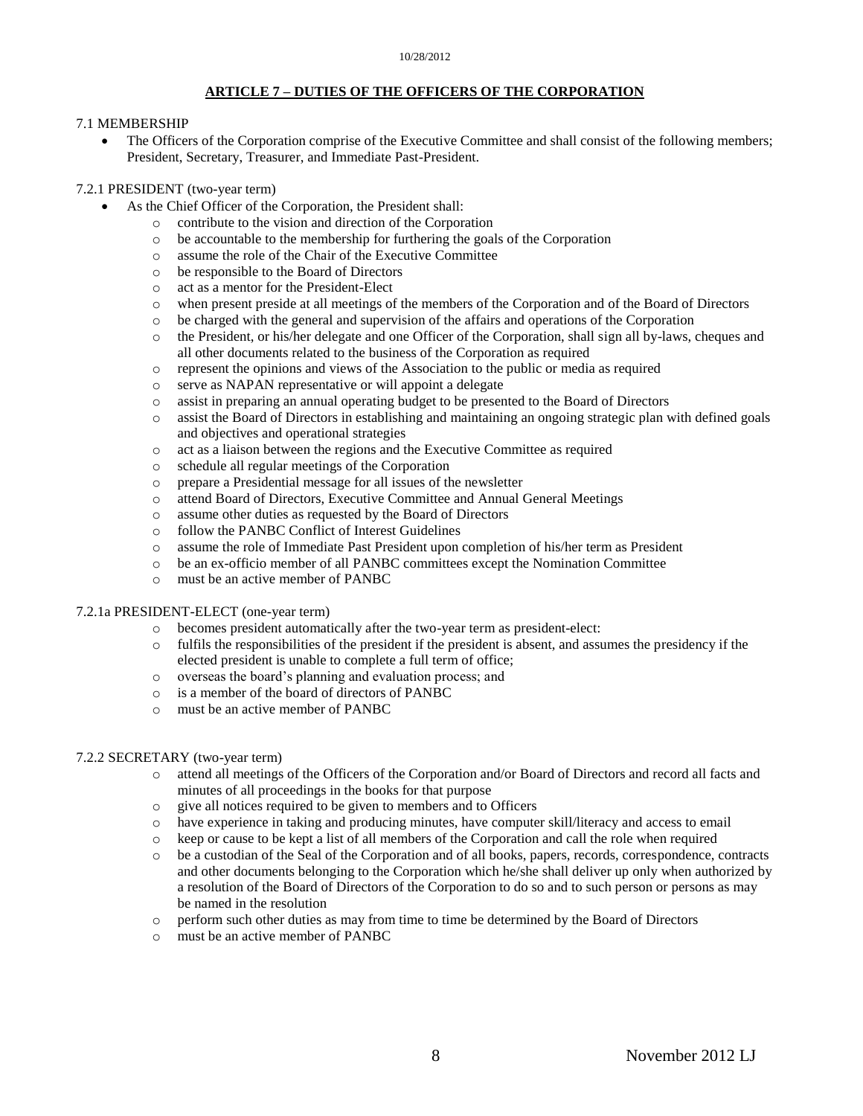### **ARTICLE 7 – DUTIES OF THE OFFICERS OF THE CORPORATION**

#### 7.1 MEMBERSHIP

 The Officers of the Corporation comprise of the Executive Committee and shall consist of the following members; President, Secretary, Treasurer, and Immediate Past-President.

### 7.2.1 PRESIDENT (two-year term)

- As the Chief Officer of the Corporation, the President shall:
	- o contribute to the vision and direction of the Corporation
	- o be accountable to the membership for furthering the goals of the Corporation
	- o assume the role of the Chair of the Executive Committee
	- o be responsible to the Board of Directors
	- o act as a mentor for the President-Elect
	- o when present preside at all meetings of the members of the Corporation and of the Board of Directors
	- o be charged with the general and supervision of the affairs and operations of the Corporation
	- o the President, or his/her delegate and one Officer of the Corporation, shall sign all by-laws, cheques and all other documents related to the business of the Corporation as required
	- o represent the opinions and views of the Association to the public or media as required
	- o serve as NAPAN representative or will appoint a delegate
	- o assist in preparing an annual operating budget to be presented to the Board of Directors
	- o assist the Board of Directors in establishing and maintaining an ongoing strategic plan with defined goals and objectives and operational strategies
	- o act as a liaison between the regions and the Executive Committee as required
	- o schedule all regular meetings of the Corporation
	- o prepare a Presidential message for all issues of the newsletter
	- o attend Board of Directors, Executive Committee and Annual General Meetings
	- o assume other duties as requested by the Board of Directors
	- o follow the PANBC Conflict of Interest Guidelines
	- o assume the role of Immediate Past President upon completion of his/her term as President
	- o be an ex-officio member of all PANBC committees except the Nomination Committee
	- o must be an active member of PANBC

#### 7.2.1a PRESIDENT-ELECT (one-year term)

- o becomes president automatically after the two-year term as president-elect:
- o fulfils the responsibilities of the president if the president is absent, and assumes the presidency if the elected president is unable to complete a full term of office;
- o overseas the board's planning and evaluation process; and
- o is a member of the board of directors of PANBC
- o must be an active member of PANBC

#### 7.2.2 SECRETARY (two-year term)

- o attend all meetings of the Officers of the Corporation and/or Board of Directors and record all facts and minutes of all proceedings in the books for that purpose
- o give all notices required to be given to members and to Officers
- 
- o have experience in taking and producing minutes, have computer skill/literacy and access to email keep or cause to be kept a list of all members of the Corporation and call the role when required
- o be a custodian of the Seal of the Corporation and of all books, papers, records, correspondence, contracts and other documents belonging to the Corporation which he/she shall deliver up only when authorized by a resolution of the Board of Directors of the Corporation to do so and to such person or persons as may be named in the resolution
- o perform such other duties as may from time to time be determined by the Board of Directors
- o must be an active member of PANBC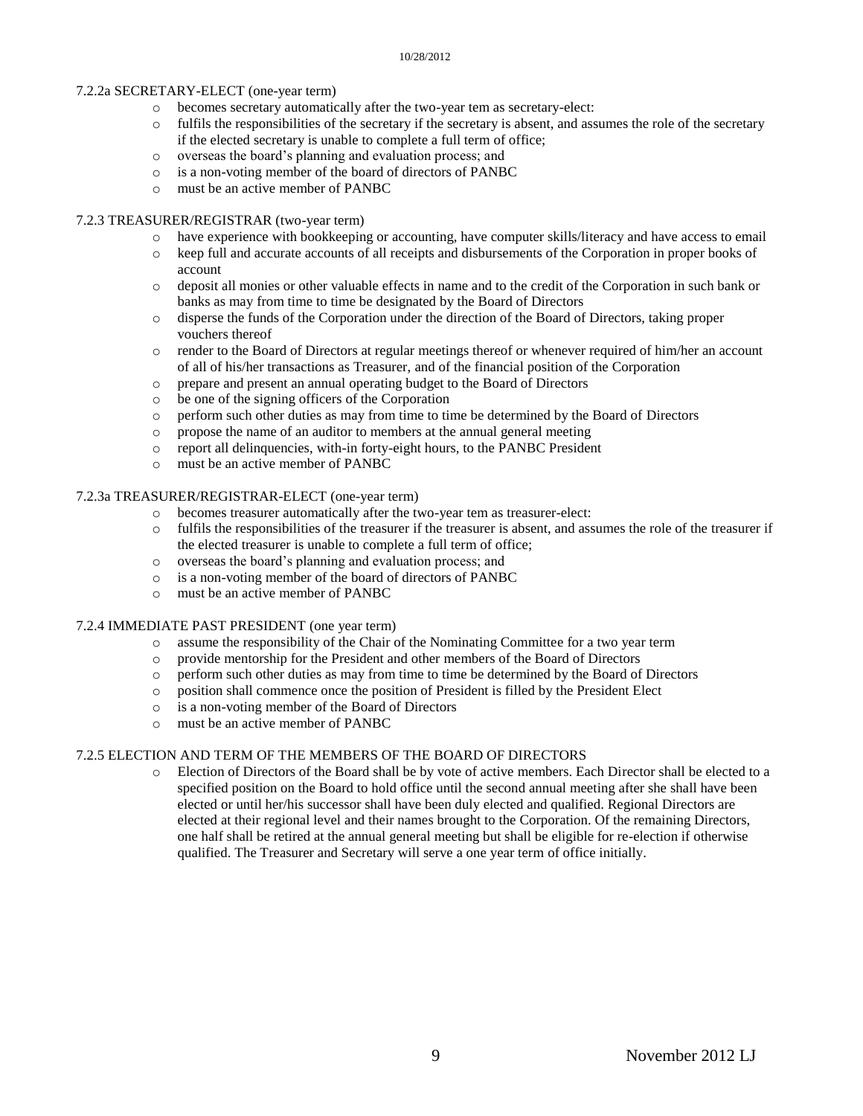#### 7.2.2a SECRETARY-ELECT (one-year term)

- o becomes secretary automatically after the two-year tem as secretary-elect:
- $\circ$  fulfils the responsibilities of the secretary if the secretary is absent, and assumes the role of the secretary if the elected secretary is unable to complete a full term of office;
- o overseas the board's planning and evaluation process; and
- o is a non-voting member of the board of directors of PANBC
- o must be an active member of PANBC

#### 7.2.3 TREASURER/REGISTRAR (two-year term)

- o have experience with bookkeeping or accounting, have computer skills/literacy and have access to email
- o keep full and accurate accounts of all receipts and disbursements of the Corporation in proper books of account
- o deposit all monies or other valuable effects in name and to the credit of the Corporation in such bank or banks as may from time to time be designated by the Board of Directors
- o disperse the funds of the Corporation under the direction of the Board of Directors, taking proper vouchers thereof
- o render to the Board of Directors at regular meetings thereof or whenever required of him/her an account of all of his/her transactions as Treasurer, and of the financial position of the Corporation
- o prepare and present an annual operating budget to the Board of Directors
- o be one of the signing officers of the Corporation
- o perform such other duties as may from time to time be determined by the Board of Directors
- o propose the name of an auditor to members at the annual general meeting
- o report all delinquencies, with-in forty-eight hours, to the PANBC President
- o must be an active member of PANBC

#### 7.2.3a TREASURER/REGISTRAR-ELECT (one-year term)

- o becomes treasurer automatically after the two-year tem as treasurer-elect:
- o fulfils the responsibilities of the treasurer if the treasurer is absent, and assumes the role of the treasurer if the elected treasurer is unable to complete a full term of office;
- o overseas the board's planning and evaluation process; and
- o is a non-voting member of the board of directors of PANBC
- o must be an active member of PANBC

#### 7.2.4 IMMEDIATE PAST PRESIDENT (one year term)

- o assume the responsibility of the Chair of the Nominating Committee for a two year term
- o provide mentorship for the President and other members of the Board of Directors
- o perform such other duties as may from time to time be determined by the Board of Directors
- o position shall commence once the position of President is filled by the President Elect
- o is a non-voting member of the Board of Directors
- o must be an active member of PANBC

#### 7.2.5 ELECTION AND TERM OF THE MEMBERS OF THE BOARD OF DIRECTORS

o Election of Directors of the Board shall be by vote of active members. Each Director shall be elected to a specified position on the Board to hold office until the second annual meeting after she shall have been elected or until her/his successor shall have been duly elected and qualified. Regional Directors are elected at their regional level and their names brought to the Corporation. Of the remaining Directors, one half shall be retired at the annual general meeting but shall be eligible for re-election if otherwise qualified. The Treasurer and Secretary will serve a one year term of office initially.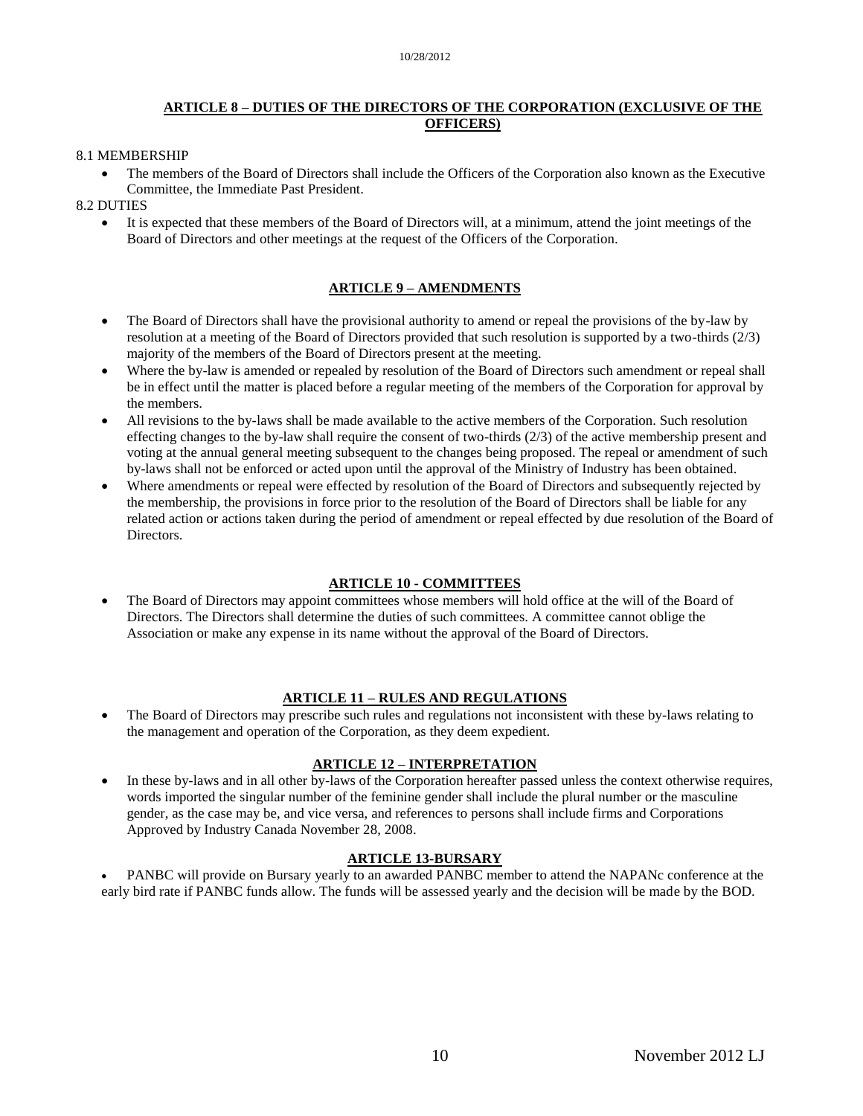# **ARTICLE 8 – DUTIES OF THE DIRECTORS OF THE CORPORATION (EXCLUSIVE OF THE OFFICERS)**

#### 8.1 MEMBERSHIP

 The members of the Board of Directors shall include the Officers of the Corporation also known as the Executive Committee, the Immediate Past President.

#### 8.2 DUTIES

 It is expected that these members of the Board of Directors will, at a minimum, attend the joint meetings of the Board of Directors and other meetings at the request of the Officers of the Corporation.

#### **ARTICLE 9 – AMENDMENTS**

- The Board of Directors shall have the provisional authority to amend or repeal the provisions of the by-law by resolution at a meeting of the Board of Directors provided that such resolution is supported by a two-thirds (2/3) majority of the members of the Board of Directors present at the meeting.
- Where the by-law is amended or repealed by resolution of the Board of Directors such amendment or repeal shall be in effect until the matter is placed before a regular meeting of the members of the Corporation for approval by the members.
- All revisions to the by-laws shall be made available to the active members of the Corporation. Such resolution effecting changes to the by-law shall require the consent of two-thirds (2/3) of the active membership present and voting at the annual general meeting subsequent to the changes being proposed. The repeal or amendment of such by-laws shall not be enforced or acted upon until the approval of the Ministry of Industry has been obtained.
- Where amendments or repeal were effected by resolution of the Board of Directors and subsequently rejected by the membership, the provisions in force prior to the resolution of the Board of Directors shall be liable for any related action or actions taken during the period of amendment or repeal effected by due resolution of the Board of Directors.

#### **ARTICLE 10 - COMMITTEES**

 The Board of Directors may appoint committees whose members will hold office at the will of the Board of Directors. The Directors shall determine the duties of such committees. A committee cannot oblige the Association or make any expense in its name without the approval of the Board of Directors.

#### **ARTICLE 11 – RULES AND REGULATIONS**

 The Board of Directors may prescribe such rules and regulations not inconsistent with these by-laws relating to the management and operation of the Corporation, as they deem expedient.

#### **ARTICLE 12 – INTERPRETATION**

 In these by-laws and in all other by-laws of the Corporation hereafter passed unless the context otherwise requires, words imported the singular number of the feminine gender shall include the plural number or the masculine gender, as the case may be, and vice versa, and references to persons shall include firms and Corporations Approved by Industry Canada November 28, 2008.

#### **ARTICLE 13-BURSARY**

 PANBC will provide on Bursary yearly to an awarded PANBC member to attend the NAPANc conference at the early bird rate if PANBC funds allow. The funds will be assessed yearly and the decision will be made by the BOD.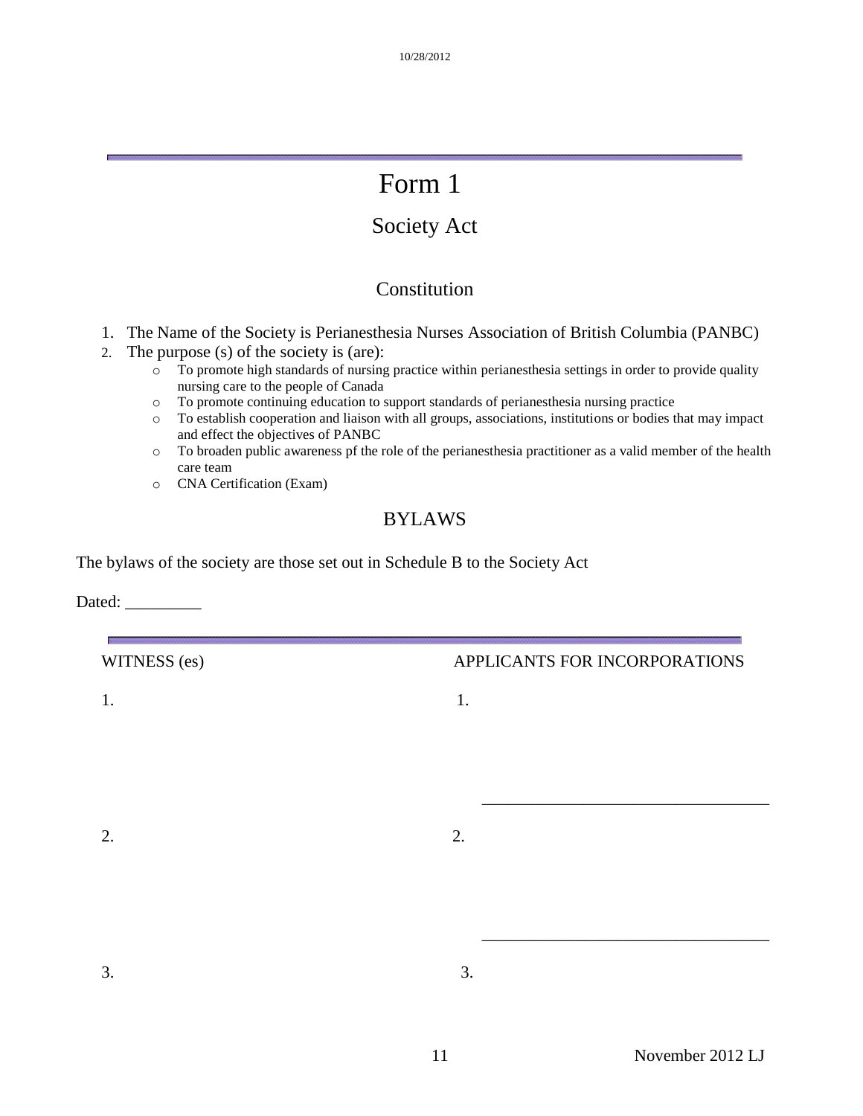# Form 1

# Society Act

# Constitution

- 1. The Name of the Society is Perianesthesia Nurses Association of British Columbia (PANBC)
- 2. The purpose (s) of the society is (are):
	- $\overline{\circ}$  To promote high standards of nursing practice within perianesthesia settings in order to provide quality nursing care to the people of Canada
	- o To promote continuing education to support standards of perianesthesia nursing practice
	- o To establish cooperation and liaison with all groups, associations, institutions or bodies that may impact and effect the objectives of PANBC
	- o To broaden public awareness pf the role of the perianesthesia practitioner as a valid member of the health care team
	- o CNA Certification (Exam)

# BYLAWS

The bylaws of the society are those set out in Schedule B to the Society Act

Dated: \_\_\_\_\_\_\_\_\_

| WITNESS (es) | APPLICANTS FOR INCORPORATIONS |
|--------------|-------------------------------|
| 1.           | 1.                            |
|              |                               |
|              |                               |
| 2.           | 2.                            |
|              |                               |
|              |                               |
| 3.           | 3.                            |
|              |                               |